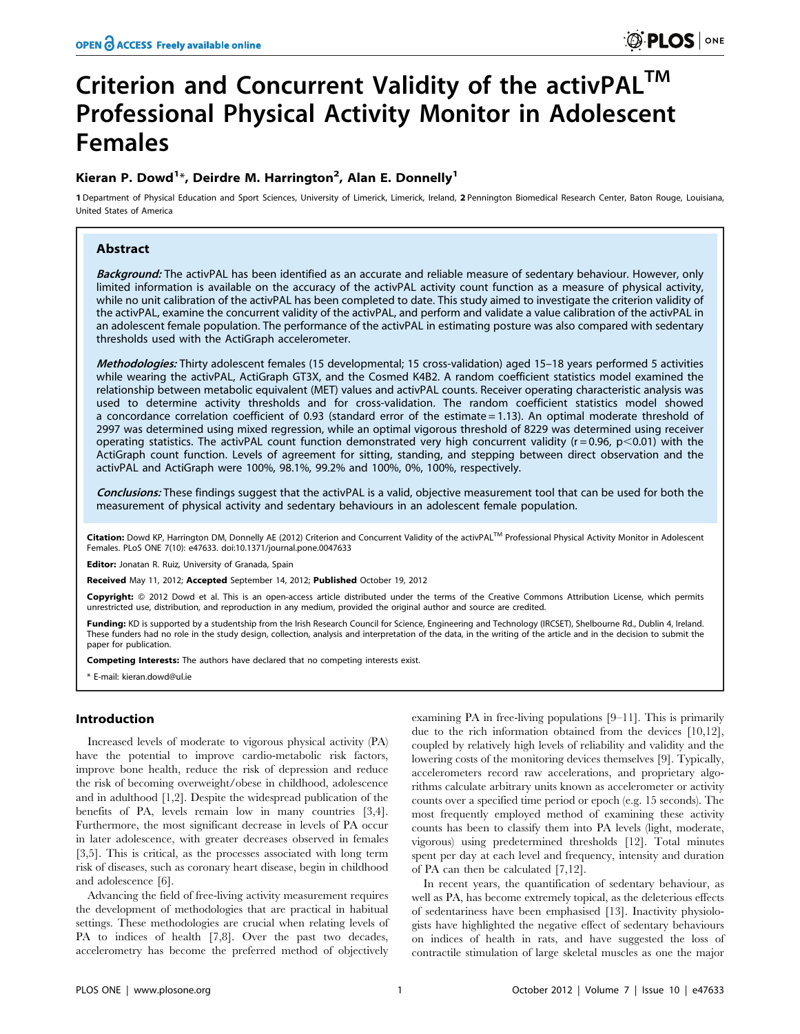# Criterion and Concurrent Validity of the activPAL<sup>TM</sup> Professional Physical Activity Monitor in Adolescent Females

# Kieran P. Dowd<sup>1\*</sup>, Deirdre M. Harrington<sup>2</sup>, Alan E. Donnelly<sup>1</sup>

1 Department of Physical Education and Sport Sciences, University of Limerick, Limerick, Ireland, 2 Pennington Biomedical Research Center, Baton Rouge, Louisiana, United States of America

# Abstract

Background: The activPAL has been identified as an accurate and reliable measure of sedentary behaviour. However, only limited information is available on the accuracy of the activPAL activity count function as a measure of physical activity, while no unit calibration of the activPAL has been completed to date. This study aimed to investigate the criterion validity of the activPAL, examine the concurrent validity of the activPAL, and perform and validate a value calibration of the activPAL in an adolescent female population. The performance of the activPAL in estimating posture was also compared with sedentary thresholds used with the ActiGraph accelerometer.

Methodologies: Thirty adolescent females (15 developmental; 15 cross-validation) aged 15-18 years performed 5 activities while wearing the activPAL, ActiGraph GT3X, and the Cosmed K4B2. A random coefficient statistics model examined the relationship between metabolic equivalent (MET) values and activPAL counts. Receiver operating characteristic analysis was used to determine activity thresholds and for cross-validation. The random coefficient statistics model showed a concordance correlation coefficient of 0.93 (standard error of the estimate = 1.13). An optimal moderate threshold of 2997 was determined using mixed regression, while an optimal vigorous threshold of 8229 was determined using receiver operating statistics. The activPAL count function demonstrated very high concurrent validity ( $r = 0.96$ ,  $p < 0.01$ ) with the ActiGraph count function. Levels of agreement for sitting, standing, and stepping between direct observation and the activPAL and ActiGraph were 100%, 98.1%, 99.2% and 100%, 0%, 100%, respectively.

Conclusions: These findings suggest that the activPAL is a valid, objective measurement tool that can be used for both the measurement of physical activity and sedentary behaviours in an adolescent female population.

Citation: Dowd KP, Harrington DM, Donnelly AE (2012) Criterion and Concurrent Validity of the activPAL™ Professional Physical Activity Monitor in Adolescent Females. PLoS ONE 7(10): e47633. doi:10.1371/journal.pone.0047633

Editor: Jonatan R. Ruiz, University of Granada, Spain

Received May 11, 2012; Accepted September 14, 2012; Published October 19, 2012

Copyright: © 2012 Dowd et al. This is an open-access article distributed under the terms of the Creative Commons Attribution License, which permits unrestricted use, distribution, and reproduction in any medium, provided the original author and source are credited.

Funding: KD is supported by a studentship from the Irish Research Council for Science, Engineering and Technology (IRCSET), Shelbourne Rd., Dublin 4, Ireland. These funders had no role in the study design, collection, analysis and interpretation of the data, in the writing of the article and in the decision to submit the paper for publication.

Competing Interests: The authors have declared that no competing interests exist.

\* E-mail: kieran.dowd@ul.ie

# Introduction

Increased levels of moderate to vigorous physical activity (PA) have the potential to improve cardio-metabolic risk factors, improve bone health, reduce the risk of depression and reduce the risk of becoming overweight/obese in childhood, adolescence and in adulthood [1,2]. Despite the widespread publication of the benefits of PA, levels remain low in many countries [3,4]. Furthermore, the most significant decrease in levels of PA occur in later adolescence, with greater decreases observed in females [3,5]. This is critical, as the processes associated with long term risk of diseases, such as coronary heart disease, begin in childhood and adolescence [6].

Advancing the field of free-living activity measurement requires the development of methodologies that are practical in habitual settings. These methodologies are crucial when relating levels of PA to indices of health [7,8]. Over the past two decades, accelerometry has become the preferred method of objectively

examining PA in free-living populations [9–11]. This is primarily due to the rich information obtained from the devices [10,12], coupled by relatively high levels of reliability and validity and the lowering costs of the monitoring devices themselves [9]. Typically, accelerometers record raw accelerations, and proprietary algorithms calculate arbitrary units known as accelerometer or activity counts over a specified time period or epoch (e.g. 15 seconds). The most frequently employed method of examining these activity counts has been to classify them into PA levels (light, moderate, vigorous) using predetermined thresholds [12]. Total minutes spent per day at each level and frequency, intensity and duration of PA can then be calculated [7,12].

In recent years, the quantification of sedentary behaviour, as well as PA, has become extremely topical, as the deleterious effects of sedentariness have been emphasised [13]. Inactivity physiologists have highlighted the negative effect of sedentary behaviours on indices of health in rats, and have suggested the loss of contractile stimulation of large skeletal muscles as one the major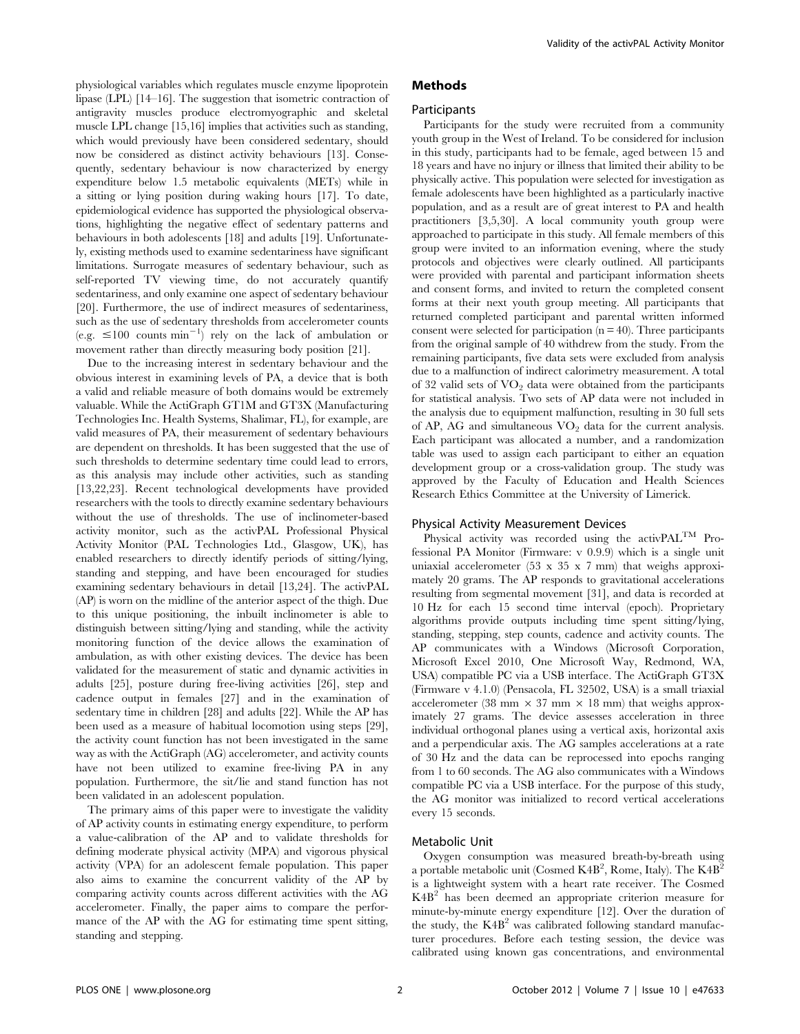physiological variables which regulates muscle enzyme lipoprotein lipase (LPL) [14–16]. The suggestion that isometric contraction of antigravity muscles produce electromyographic and skeletal muscle LPL change [15,16] implies that activities such as standing, which would previously have been considered sedentary, should now be considered as distinct activity behaviours [13]. Consequently, sedentary behaviour is now characterized by energy expenditure below 1.5 metabolic equivalents (METs) while in a sitting or lying position during waking hours [17]. To date, epidemiological evidence has supported the physiological observations, highlighting the negative effect of sedentary patterns and behaviours in both adolescents [18] and adults [19]. Unfortunately, existing methods used to examine sedentariness have significant limitations. Surrogate measures of sedentary behaviour, such as self-reported TV viewing time, do not accurately quantify sedentariness, and only examine one aspect of sedentary behaviour [20]. Furthermore, the use of indirect measures of sedentariness, such as the use of sedentary thresholds from accelerometer counts  $(e.g. \leq 100$  counts  $min^{-1}$  rely on the lack of ambulation or movement rather than directly measuring body position [21].

Due to the increasing interest in sedentary behaviour and the obvious interest in examining levels of PA, a device that is both a valid and reliable measure of both domains would be extremely valuable. While the ActiGraph GT1M and GT3X (Manufacturing Technologies Inc. Health Systems, Shalimar, FL), for example, are valid measures of PA, their measurement of sedentary behaviours are dependent on thresholds. It has been suggested that the use of such thresholds to determine sedentary time could lead to errors, as this analysis may include other activities, such as standing [13,22,23]. Recent technological developments have provided researchers with the tools to directly examine sedentary behaviours without the use of thresholds. The use of inclinometer-based activity monitor, such as the activPAL Professional Physical Activity Monitor (PAL Technologies Ltd., Glasgow, UK), has enabled researchers to directly identify periods of sitting/lying, standing and stepping, and have been encouraged for studies examining sedentary behaviours in detail [13,24]. The activPAL (AP) is worn on the midline of the anterior aspect of the thigh. Due to this unique positioning, the inbuilt inclinometer is able to distinguish between sitting/lying and standing, while the activity monitoring function of the device allows the examination of ambulation, as with other existing devices. The device has been validated for the measurement of static and dynamic activities in adults [25], posture during free-living activities [26], step and cadence output in females [27] and in the examination of sedentary time in children [28] and adults [22]. While the AP has been used as a measure of habitual locomotion using steps [29], the activity count function has not been investigated in the same way as with the ActiGraph (AG) accelerometer, and activity counts have not been utilized to examine free-living PA in any population. Furthermore, the sit/lie and stand function has not been validated in an adolescent population.

The primary aims of this paper were to investigate the validity of AP activity counts in estimating energy expenditure, to perform a value-calibration of the AP and to validate thresholds for defining moderate physical activity (MPA) and vigorous physical activity (VPA) for an adolescent female population. This paper also aims to examine the concurrent validity of the AP by comparing activity counts across different activities with the AG accelerometer. Finally, the paper aims to compare the performance of the AP with the AG for estimating time spent sitting, standing and stepping.

# Methods **Participants**

Participants for the study were recruited from a community youth group in the West of Ireland. To be considered for inclusion in this study, participants had to be female, aged between 15 and 18 years and have no injury or illness that limited their ability to be physically active. This population were selected for investigation as female adolescents have been highlighted as a particularly inactive population, and as a result are of great interest to PA and health practitioners [3,5,30]. A local community youth group were approached to participate in this study. All female members of this group were invited to an information evening, where the study protocols and objectives were clearly outlined. All participants were provided with parental and participant information sheets and consent forms, and invited to return the completed consent forms at their next youth group meeting. All participants that returned completed participant and parental written informed consent were selected for participation ( $n = 40$ ). Three participants from the original sample of 40 withdrew from the study. From the remaining participants, five data sets were excluded from analysis due to a malfunction of indirect calorimetry measurement. A total of 32 valid sets of  $VO<sub>2</sub>$  data were obtained from the participants for statistical analysis. Two sets of AP data were not included in the analysis due to equipment malfunction, resulting in 30 full sets of AP, AG and simultaneous  $VO<sub>2</sub>$  data for the current analysis. Each participant was allocated a number, and a randomization table was used to assign each participant to either an equation development group or a cross-validation group. The study was approved by the Faculty of Education and Health Sciences Research Ethics Committee at the University of Limerick.

# Physical Activity Measurement Devices

Physical activity was recorded using the activ $PAL^{TM}$  Professional PA Monitor (Firmware: v 0.9.9) which is a single unit uniaxial accelerometer (53 x 35 x 7 mm) that weighs approximately 20 grams. The AP responds to gravitational accelerations resulting from segmental movement [31], and data is recorded at 10 Hz for each 15 second time interval (epoch). Proprietary algorithms provide outputs including time spent sitting/lying, standing, stepping, step counts, cadence and activity counts. The AP communicates with a Windows (Microsoft Corporation, Microsoft Excel 2010, One Microsoft Way, Redmond, WA, USA) compatible PC via a USB interface. The ActiGraph GT3X (Firmware v 4.1.0) (Pensacola, FL 32502, USA) is a small triaxial accelerometer (38 mm  $\times$  37 mm  $\times$  18 mm) that weighs approximately 27 grams. The device assesses acceleration in three individual orthogonal planes using a vertical axis, horizontal axis and a perpendicular axis. The AG samples accelerations at a rate of 30 Hz and the data can be reprocessed into epochs ranging from 1 to 60 seconds. The AG also communicates with a Windows compatible PC via a USB interface. For the purpose of this study, the AG monitor was initialized to record vertical accelerations every 15 seconds.

## Metabolic Unit

Oxygen consumption was measured breath-by-breath using a portable metabolic unit (Cosmed  $\rm K4B^2,$  Rome, Italy). The  $\rm K4B^2$ is a lightweight system with a heart rate receiver. The Cosmed K4B<sup>2</sup> has been deemed an appropriate criterion measure for minute-by-minute energy expenditure [12]. Over the duration of the study, the  $K4B<sup>2</sup>$  was calibrated following standard manufacturer procedures. Before each testing session, the device was calibrated using known gas concentrations, and environmental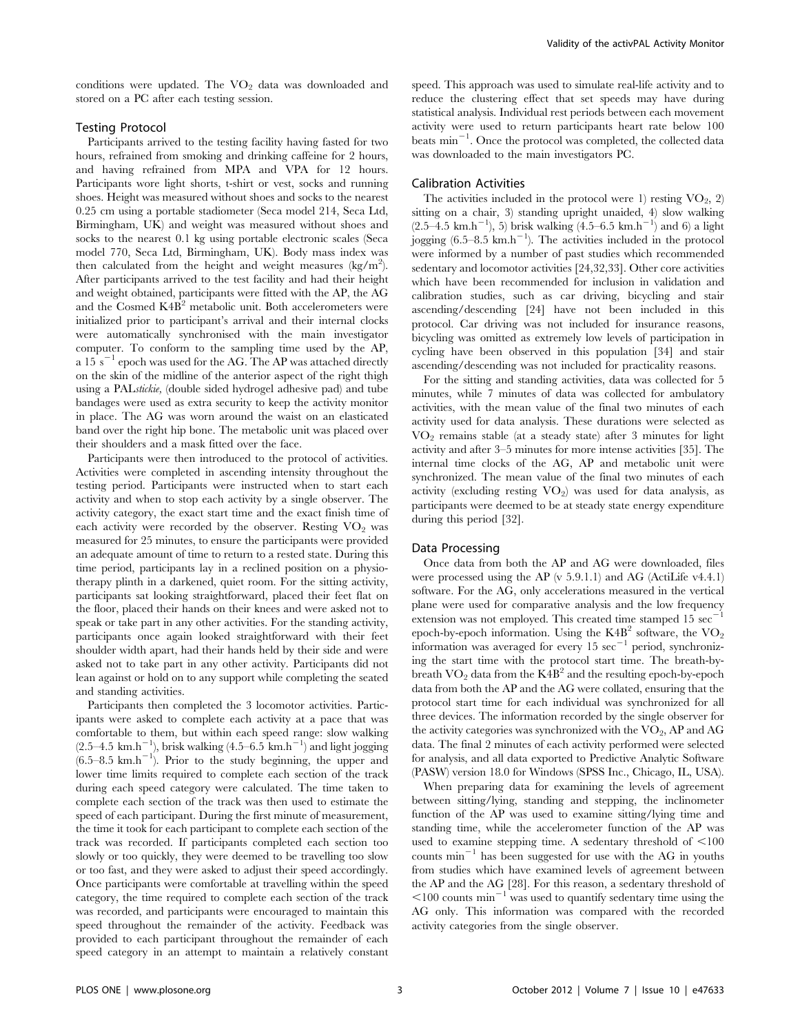conditions were updated. The  $VO<sub>2</sub>$  data was downloaded and stored on a PC after each testing session.

# Testing Protocol

Participants arrived to the testing facility having fasted for two hours, refrained from smoking and drinking caffeine for 2 hours, and having refrained from MPA and VPA for 12 hours. Participants wore light shorts, t-shirt or vest, socks and running shoes. Height was measured without shoes and socks to the nearest 0.25 cm using a portable stadiometer (Seca model 214, Seca Ltd, Birmingham, UK) and weight was measured without shoes and socks to the nearest 0.1 kg using portable electronic scales (Seca model 770, Seca Ltd, Birmingham, UK). Body mass index was then calculated from the height and weight measures  $(kg/m^2)$ . After participants arrived to the test facility and had their height and weight obtained, participants were fitted with the AP, the AG and the Cosmed  $K4B<sup>2</sup>$  metabolic unit. Both accelerometers were initialized prior to participant's arrival and their internal clocks were automatically synchronised with the main investigator computer. To conform to the sampling time used by the AP, a 15  $s^{-1}$  epoch was used for the AG. The AP was attached directly on the skin of the midline of the anterior aspect of the right thigh using a PALstickie, (double sided hydrogel adhesive pad) and tube bandages were used as extra security to keep the activity monitor in place. The AG was worn around the waist on an elasticated band over the right hip bone. The metabolic unit was placed over their shoulders and a mask fitted over the face.

Participants were then introduced to the protocol of activities. Activities were completed in ascending intensity throughout the testing period. Participants were instructed when to start each activity and when to stop each activity by a single observer. The activity category, the exact start time and the exact finish time of each activity were recorded by the observer. Resting  $VO<sub>2</sub>$  was measured for 25 minutes, to ensure the participants were provided an adequate amount of time to return to a rested state. During this time period, participants lay in a reclined position on a physiotherapy plinth in a darkened, quiet room. For the sitting activity, participants sat looking straightforward, placed their feet flat on the floor, placed their hands on their knees and were asked not to speak or take part in any other activities. For the standing activity, participants once again looked straightforward with their feet shoulder width apart, had their hands held by their side and were asked not to take part in any other activity. Participants did not lean against or hold on to any support while completing the seated and standing activities.

Participants then completed the 3 locomotor activities. Participants were asked to complete each activity at a pace that was comfortable to them, but within each speed range: slow walking  $(2.5-4.5 \text{ km.h}^{-1})$ , brisk walking  $(4.5-6.5 \text{ km.h}^{-1})$  and light jogging  $(6.5-8.5 \text{ km.h}^{-1})$ . Prior to the study beginning, the upper and lower time limits required to complete each section of the track during each speed category were calculated. The time taken to complete each section of the track was then used to estimate the speed of each participant. During the first minute of measurement, the time it took for each participant to complete each section of the track was recorded. If participants completed each section too slowly or too quickly, they were deemed to be travelling too slow or too fast, and they were asked to adjust their speed accordingly. Once participants were comfortable at travelling within the speed category, the time required to complete each section of the track was recorded, and participants were encouraged to maintain this speed throughout the remainder of the activity. Feedback was provided to each participant throughout the remainder of each speed category in an attempt to maintain a relatively constant speed. This approach was used to simulate real-life activity and to reduce the clustering effect that set speeds may have during statistical analysis. Individual rest periods between each movement activity were used to return participants heart rate below 100 beats min<sup>-1</sup>. Once the protocol was completed, the collected data was downloaded to the main investigators PC.

# Calibration Activities

The activities included in the protocol were 1) resting  $VO_2$ , 2) sitting on a chair, 3) standing upright unaided, 4) slow walking  $(2.5-4.5 \text{ km.h}^{-1}), 5)$  brisk walking  $(4.5-6.5 \text{ km.h}^{-1})$  and 6) a light jogging  $(6.5-8.5 \text{ km.h}^{-1})$ . The activities included in the protocol were informed by a number of past studies which recommended sedentary and locomotor activities [24,32,33]. Other core activities which have been recommended for inclusion in validation and calibration studies, such as car driving, bicycling and stair ascending/descending [24] have not been included in this protocol. Car driving was not included for insurance reasons, bicycling was omitted as extremely low levels of participation in cycling have been observed in this population [34] and stair ascending/descending was not included for practicality reasons.

For the sitting and standing activities, data was collected for 5 minutes, while 7 minutes of data was collected for ambulatory activities, with the mean value of the final two minutes of each activity used for data analysis. These durations were selected as VO2 remains stable (at a steady state) after 3 minutes for light activity and after 3–5 minutes for more intense activities [35]. The internal time clocks of the AG, AP and metabolic unit were synchronized. The mean value of the final two minutes of each activity (excluding resting  $VO<sub>2</sub>$ ) was used for data analysis, as participants were deemed to be at steady state energy expenditure during this period [32].

# Data Processing

Once data from both the AP and AG were downloaded, files were processed using the AP (v 5.9.1.1) and AG (ActiLife v4.4.1) software. For the AG, only accelerations measured in the vertical plane were used for comparative analysis and the low frequency extension was not employed. This created time stamped  $15 \text{ sec}^{-1}$ epoch-by-epoch information. Using the  $K4B<sup>2</sup>$  software, the VO<sub>2</sub> information was averaged for every  $15 \text{ sec}^{-1}$  period, synchronizing the start time with the protocol start time. The breath-bybreath  $\rm VO_2$  data from the  $K4B^2$  and the resulting epoch-by-epoch data from both the AP and the AG were collated, ensuring that the protocol start time for each individual was synchronized for all three devices. The information recorded by the single observer for the activity categories was synchronized with the  $VO_2$ , AP and AG data. The final 2 minutes of each activity performed were selected for analysis, and all data exported to Predictive Analytic Software (PASW) version 18.0 for Windows (SPSS Inc., Chicago, IL, USA).

When preparing data for examining the levels of agreement between sitting/lying, standing and stepping, the inclinometer function of the AP was used to examine sitting/lying time and standing time, while the accelerometer function of the AP was used to examine stepping time. A sedentary threshold of  $\leq 100$ counts  $min^{-1}$  has been suggested for use with the AG in youths from studies which have examined levels of agreement between the AP and the AG [28]. For this reason, a sedentary threshold of  $\leq$ 100 counts min<sup>-1</sup> was used to quantify sedentary time using the AG only. This information was compared with the recorded activity categories from the single observer.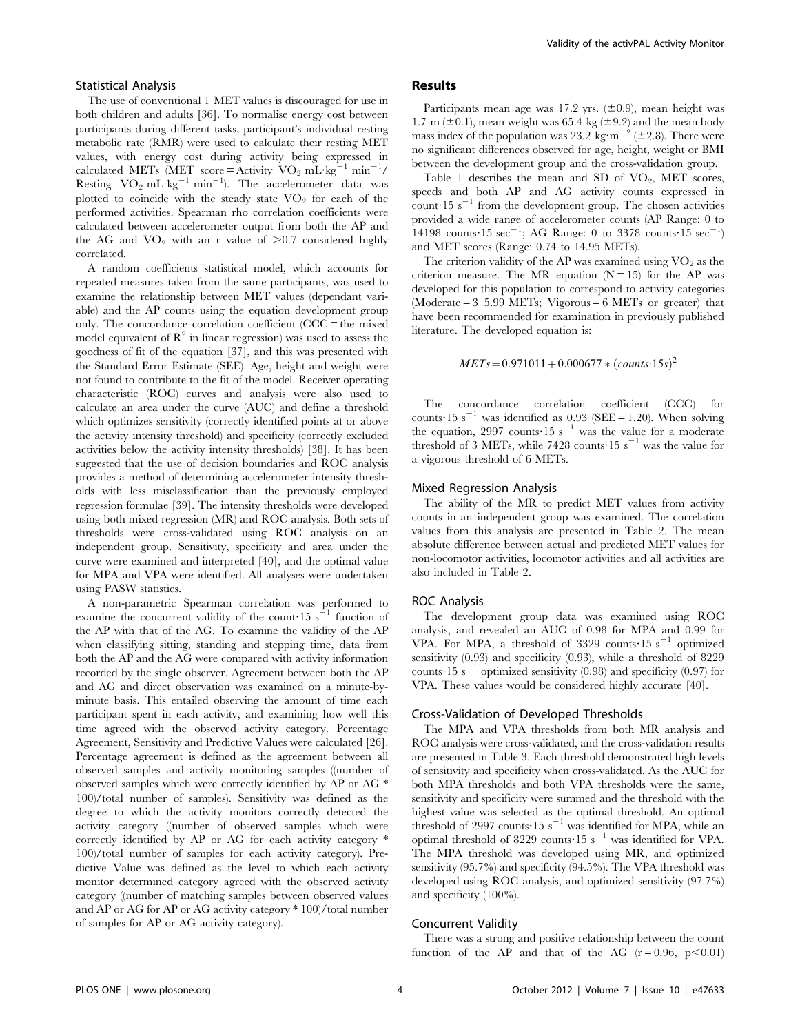#### Statistical Analysis

The use of conventional 1 MET values is discouraged for use in both children and adults [36]. To normalise energy cost between participants during different tasks, participant's individual resting metabolic rate (RMR) were used to calculate their resting MET values, with energy cost during activity being expressed in calculated METs (MET score = Activity  $VO_2 \text{ mL} \cdot \text{kg}^{-1} \text{ min}^{-1}$ / Resting  $VO_2$  mL kg<sup>-1</sup> min<sup>-1</sup>). The accelerometer data was plotted to coincide with the steady state  $VO<sub>2</sub>$  for each of the performed activities. Spearman rho correlation coefficients were calculated between accelerometer output from both the AP and the AG and  $VO_2$  with an r value of  $\geq 0.7$  considered highly correlated.

A random coefficients statistical model, which accounts for repeated measures taken from the same participants, was used to examine the relationship between MET values (dependant variable) and the AP counts using the equation development group only. The concordance correlation coefficient (CCC = the mixed model equivalent of  $\mathbb{R}^2$  in linear regression) was used to assess the goodness of fit of the equation [37], and this was presented with the Standard Error Estimate (SEE). Age, height and weight were not found to contribute to the fit of the model. Receiver operating characteristic (ROC) curves and analysis were also used to calculate an area under the curve (AUC) and define a threshold which optimizes sensitivity (correctly identified points at or above the activity intensity threshold) and specificity (correctly excluded activities below the activity intensity thresholds) [38]. It has been suggested that the use of decision boundaries and ROC analysis provides a method of determining accelerometer intensity thresholds with less misclassification than the previously employed regression formulae [39]. The intensity thresholds were developed using both mixed regression (MR) and ROC analysis. Both sets of thresholds were cross-validated using ROC analysis on an independent group. Sensitivity, specificity and area under the curve were examined and interpreted [40], and the optimal value for MPA and VPA were identified. All analyses were undertaken using PASW statistics.

A non-parametric Spearman correlation was performed to examine the concurrent validity of the count  $15 s^{-1}$  function of the AP with that of the AG. To examine the validity of the AP when classifying sitting, standing and stepping time, data from both the AP and the AG were compared with activity information recorded by the single observer. Agreement between both the AP and AG and direct observation was examined on a minute-byminute basis. This entailed observing the amount of time each participant spent in each activity, and examining how well this time agreed with the observed activity category. Percentage Agreement, Sensitivity and Predictive Values were calculated [26]. Percentage agreement is defined as the agreement between all observed samples and activity monitoring samples ((number of observed samples which were correctly identified by AP or AG \* 100)/total number of samples). Sensitivity was defined as the degree to which the activity monitors correctly detected the activity category ((number of observed samples which were correctly identified by AP or AG for each activity category \* 100)/total number of samples for each activity category). Predictive Value was defined as the level to which each activity monitor determined category agreed with the observed activity category ((number of matching samples between observed values and AP or AG for AP or AG activity category \* 100)/total number of samples for AP or AG activity category).

# Results

Participants mean age was 17.2 yrs.  $(\pm 0.9)$ , mean height was 1.7 m ( $\pm$ 0.1), mean weight was 65.4 kg ( $\pm$ 9.2) and the mean body mass index of the population was 23.2 kg·m<sup>-2</sup> ( $\pm$ 2.8). There were no significant differences observed for age, height, weight or BMI between the development group and the cross-validation group.

Table 1 describes the mean and SD of  $VO_2$ , MET scores, speeds and both AP and AG activity counts expressed in count 15 s<sup> $-1$ </sup> from the development group. The chosen activities provided a wide range of accelerometer counts (AP Range: 0 to 14198 counts 15 sec<sup>-1</sup>; AG Range: 0 to 3378 counts 15 sec<sup>-1</sup>) and MET scores (Range: 0.74 to 14.95 METs).

The criterion validity of the AP was examined using  $VO<sub>2</sub>$  as the criterion measure. The MR equation  $(N = 15)$  for the AP was developed for this population to correspond to activity categories (Moderate  $= 3 - 5.99$  METs; Vigorous  $= 6$  METs or greater) that have been recommended for examination in previously published literature. The developed equation is:

$$
METs = 0.971011 + 0.000677 * (counts.15s)^2
$$

The concordance correlation coefficient (CCC) for counts:15 s<sup>-1</sup> was identified as 0.93 (SEE = 1.20). When solving the equation, 2997 counts 15 s<sup>-1</sup> was the value for a moderate threshold of 3 METs, while 7428 counts 15 s<sup>-1</sup> was the value for a vigorous threshold of 6 METs.

#### Mixed Regression Analysis

The ability of the MR to predict MET values from activity counts in an independent group was examined. The correlation values from this analysis are presented in Table 2. The mean absolute difference between actual and predicted MET values for non-locomotor activities, locomotor activities and all activities are also included in Table 2.

#### ROC Analysis

The development group data was examined using ROC analysis, and revealed an AUC of 0.98 for MPA and 0.99 for VPA. For MPA, a threshold of 3329 counts 15 s<sup>-1</sup> optimized sensitivity (0.93) and specificity (0.93), while a threshold of 8229 counts 15 s<sup>-1</sup> optimized sensitivity (0.98) and specificity (0.97) for VPA. These values would be considered highly accurate [40].

# Cross-Validation of Developed Thresholds

The MPA and VPA thresholds from both MR analysis and ROC analysis were cross-validated, and the cross-validation results are presented in Table 3. Each threshold demonstrated high levels of sensitivity and specificity when cross-validated. As the AUC for both MPA thresholds and both VPA thresholds were the same, sensitivity and specificity were summed and the threshold with the highest value was selected as the optimal threshold. An optimal threshold of 2997 counts $\cdot 15$  s<sup> $-1$ </sup> was identified for MPA, while an optimal threshold of 8229 counts  $15 s^{-1}$  was identified for VPA. The MPA threshold was developed using MR, and optimized sensitivity (95.7%) and specificity (94.5%). The VPA threshold was developed using ROC analysis, and optimized sensitivity (97.7%) and specificity (100%).

#### Concurrent Validity

There was a strong and positive relationship between the count function of the AP and that of the AG  $(r=0.96, p<0.01)$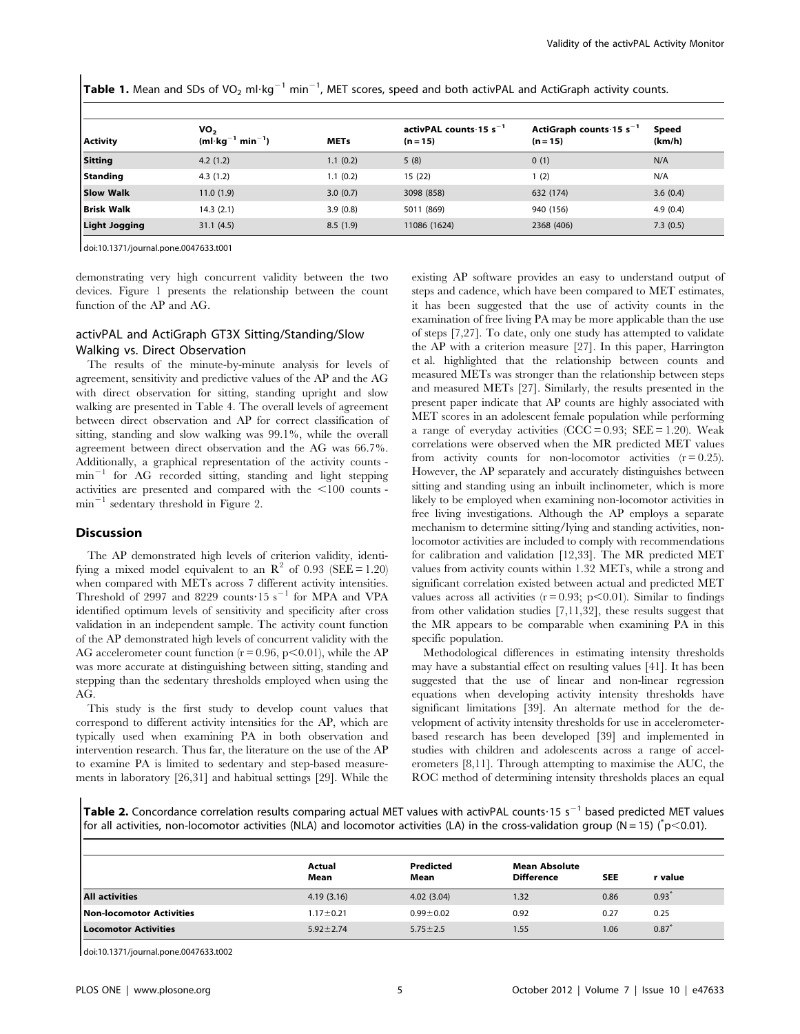Table 1. Mean and SDs of VO<sub>2</sub> ml·kg<sup>-1</sup> min<sup>-1</sup>, MET scores, speed and both activPAL and ActiGraph activity counts.

| <b>Activity</b>      | VO,<br>$(ml \cdot kg^{-1} min^{-1})$ | <b>METs</b> | activPAL counts $15 s^{-1}$<br>$(n = 15)$ | ActiGraph counts $15 s^{-1}$<br>$(n = 15)$ | Speed<br>(km/h) |
|----------------------|--------------------------------------|-------------|-------------------------------------------|--------------------------------------------|-----------------|
| <b>Sitting</b>       | 4.2(1.2)                             | 1.1(0.2)    | 5(8)                                      | 0(1)                                       | N/A             |
| Standing             | 4.3(1.2)                             | 1.1(0.2)    | 15(22)                                    | 1(2)                                       | N/A             |
| <b>Slow Walk</b>     | 11.0(1.9)                            | 3.0(0.7)    | 3098 (858)                                | 632 (174)                                  | 3.6(0.4)        |
| <b>Brisk Walk</b>    | 14.3(2.1)                            | 3.9(0.8)    | 5011 (869)                                | 940 (156)                                  | 4.9(0.4)        |
| <b>Light Jogging</b> | 31.1(4.5)                            | 8.5(1.9)    | 11086 (1624)                              | 2368 (406)                                 | 7.3(0.5)        |

doi:10.1371/journal.pone.0047633.t001

demonstrating very high concurrent validity between the two devices. Figure 1 presents the relationship between the count function of the AP and AG.

# activPAL and ActiGraph GT3X Sitting/Standing/Slow Walking vs. Direct Observation

The results of the minute-by-minute analysis for levels of agreement, sensitivity and predictive values of the AP and the AG with direct observation for sitting, standing upright and slow walking are presented in Table 4. The overall levels of agreement between direct observation and AP for correct classification of sitting, standing and slow walking was 99.1%, while the overall agreement between direct observation and the AG was 66.7%. Additionally, a graphical representation of the activity counts  $min^{-1}$  for AG recorded sitting, standing and light stepping activities are presented and compared with the  $<$ 100 counts  $min^{-1}$  sedentary threshold in Figure 2.

# Discussion

The AP demonstrated high levels of criterion validity, identifying a mixed model equivalent to an  $\mathbb{R}^2$  of 0.93 (SEE = 1.20) when compared with METs across 7 different activity intensities. Threshold of 2997 and 8229 counts 15 s<sup>-1</sup> for MPA and VPA identified optimum levels of sensitivity and specificity after cross validation in an independent sample. The activity count function of the AP demonstrated high levels of concurrent validity with the AG accelerometer count function  $(r = 0.96, p < 0.01)$ , while the AP was more accurate at distinguishing between sitting, standing and stepping than the sedentary thresholds employed when using the AG.

This study is the first study to develop count values that correspond to different activity intensities for the AP, which are typically used when examining PA in both observation and intervention research. Thus far, the literature on the use of the AP to examine PA is limited to sedentary and step-based measurements in laboratory [26,31] and habitual settings [29]. While the existing AP software provides an easy to understand output of steps and cadence, which have been compared to MET estimates, it has been suggested that the use of activity counts in the examination of free living PA may be more applicable than the use of steps [7,27]. To date, only one study has attempted to validate the AP with a criterion measure [27]. In this paper, Harrington et al. highlighted that the relationship between counts and measured METs was stronger than the relationship between steps and measured METs [27]. Similarly, the results presented in the present paper indicate that AP counts are highly associated with MET scores in an adolescent female population while performing a range of everyday activities  $(CCC = 0.93; SEE = 1.20)$ . Weak correlations were observed when the MR predicted MET values from activity counts for non-locomotor activities  $(r = 0.25)$ . However, the AP separately and accurately distinguishes between sitting and standing using an inbuilt inclinometer, which is more likely to be employed when examining non-locomotor activities in free living investigations. Although the AP employs a separate mechanism to determine sitting/lying and standing activities, nonlocomotor activities are included to comply with recommendations for calibration and validation [12,33]. The MR predicted MET values from activity counts within 1.32 METs, while a strong and significant correlation existed between actual and predicted MET values across all activities  $(r = 0.93; p < 0.01)$ . Similar to findings from other validation studies [7,11,32], these results suggest that the MR appears to be comparable when examining PA in this specific population.

Methodological differences in estimating intensity thresholds may have a substantial effect on resulting values [41]. It has been suggested that the use of linear and non-linear regression equations when developing activity intensity thresholds have significant limitations [39]. An alternate method for the development of activity intensity thresholds for use in accelerometerbased research has been developed [39] and implemented in studies with children and adolescents across a range of accelerometers [8,11]. Through attempting to maximise the AUC, the ROC method of determining intensity thresholds places an equal

Table 2. Concordance correlation results comparing actual MET values with activPAL counts $\cdot$ 15 s<sup>-1</sup> based predicted MET values for all activities, non-locomotor activities (NLA) and locomotor activities (LA) in the cross-validation group (N = 15) ( $\degree$ p<0.01).

|                             | Actual<br>Mean  | Predicted<br>Mean | <b>Mean Absolute</b><br><b>Difference</b> | <b>SEE</b> | r value |
|-----------------------------|-----------------|-------------------|-------------------------------------------|------------|---------|
| All activities              | 4.19(3.16)      | 4.02(3.04)        | 1.32                                      | 0.86       | 0.93    |
| Non-locomotor Activities    | $1.17 \pm 0.21$ | $0.99 + 0.02$     | 0.92                                      | 0.27       | 0.25    |
| <b>Locomotor Activities</b> | $5.92 \pm 2.74$ | $5.75 \pm 2.5$    | 1.55                                      | 1.06       | 0.87    |

doi:10.1371/journal.pone.0047633.t002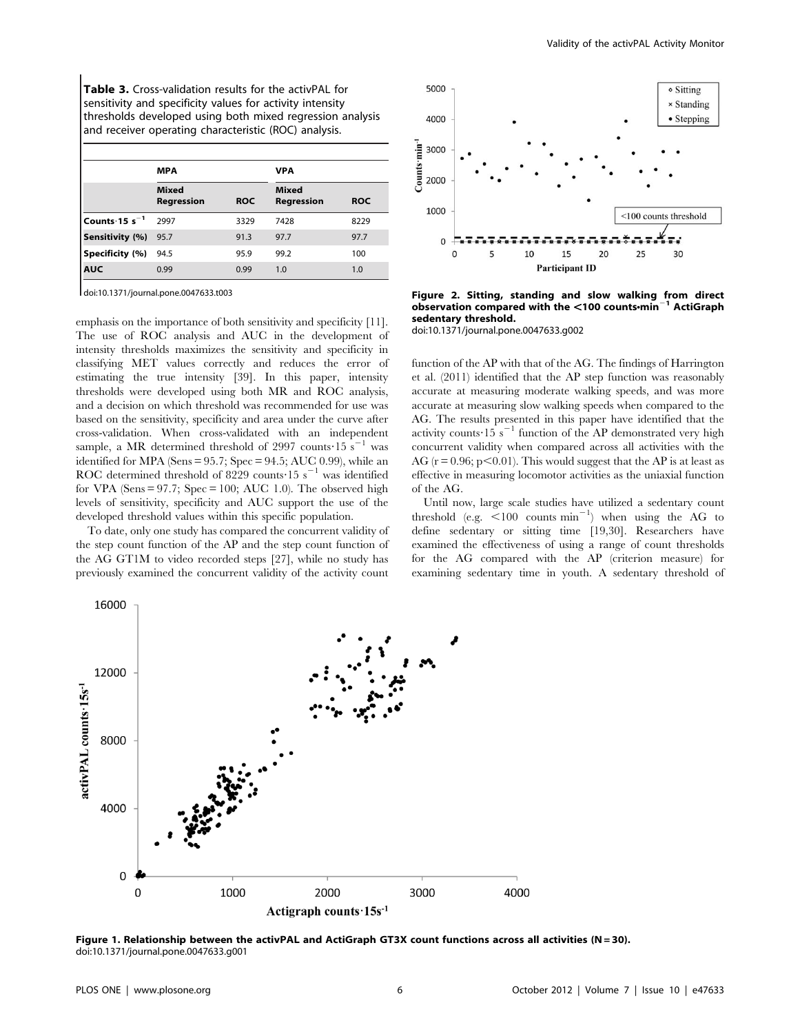Table 3. Cross-validation results for the activPAL for sensitivity and specificity values for activity intensity thresholds developed using both mixed regression analysis and receiver operating characteristic (ROC) analysis.

|                    | <b>MPA</b>                 |            | VPA                        |            |  |  |
|--------------------|----------------------------|------------|----------------------------|------------|--|--|
|                    | <b>Mixed</b><br>Regression | <b>ROC</b> | <b>Mixed</b><br>Regression | <b>ROC</b> |  |  |
| Counts $15 s^{-1}$ | 2997                       | 3329       | 7428                       | 8229       |  |  |
| Sensitivity (%)    | 95.7                       | 91.3       | 97.7                       | 97.7       |  |  |
| Specificity (%)    | 94.5                       | 95.9       | 99.2                       | 100        |  |  |
| <b>AUC</b>         | 0.99                       | 0.99       | 1.0                        | 1.0        |  |  |

doi:10.1371/journal.pone.0047633.t003

emphasis on the importance of both sensitivity and specificity [11]. The use of ROC analysis and AUC in the development of intensity thresholds maximizes the sensitivity and specificity in classifying MET values correctly and reduces the error of estimating the true intensity [39]. In this paper, intensity thresholds were developed using both MR and ROC analysis, and a decision on which threshold was recommended for use was based on the sensitivity, specificity and area under the curve after cross-validation. When cross-validated with an independent sample, a MR determined threshold of 2997 counts $\cdot$ 15 s<sup>-1</sup> was identified for MPA (Sens =  $95.7$ ; Spec =  $94.5$ ; AUC 0.99), while an ROC determined threshold of 8229 counts 15 s<sup> $-1$ </sup> was identified for VPA (Sens  $= 97.7$ ; Spec  $= 100$ ; AUC 1.0). The observed high levels of sensitivity, specificity and AUC support the use of the developed threshold values within this specific population.

To date, only one study has compared the concurrent validity of the step count function of the AP and the step count function of the AG GT1M to video recorded steps [27], while no study has previously examined the concurrent validity of the activity count



Figure 2. Sitting, standing and slow walking from direct observation compared with the <100 counts·min<sup>-1</sup> ActiGraph sedentary threshold.

doi:10.1371/journal.pone.0047633.g002

function of the AP with that of the AG. The findings of Harrington et al. (2011) identified that the AP step function was reasonably accurate at measuring moderate walking speeds, and was more accurate at measuring slow walking speeds when compared to the AG. The results presented in this paper have identified that the activity counts  $15 s^{-1}$  function of the AP demonstrated very high concurrent validity when compared across all activities with the AG ( $r = 0.96$ ; p<0.01). This would suggest that the AP is at least as effective in measuring locomotor activities as the uniaxial function of the AG.

Until now, large scale studies have utilized a sedentary count threshold (e.g.  $\leq 100$  counts min<sup>-1</sup>) when using the AG to define sedentary or sitting time [19,30]. Researchers have examined the effectiveness of using a range of count thresholds for the AG compared with the AP (criterion measure) for examining sedentary time in youth. A sedentary threshold of



Figure 1. Relationship between the activPAL and ActiGraph GT3X count functions across all activities (N = 30). doi:10.1371/journal.pone.0047633.g001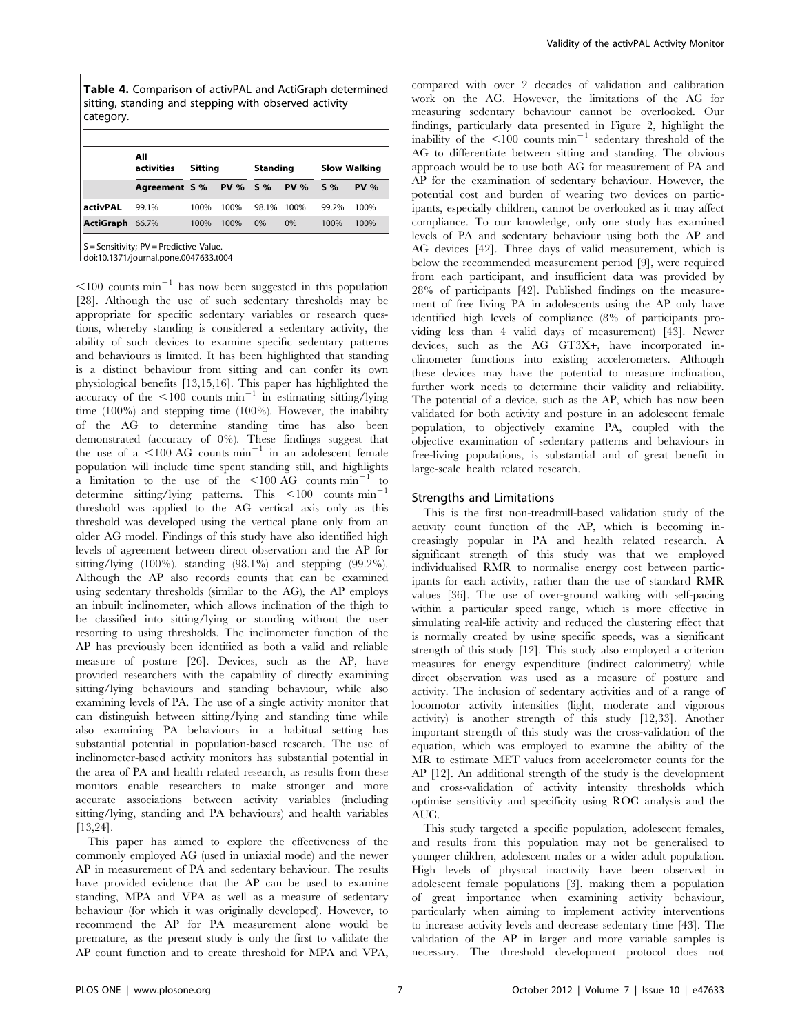Table 4. Comparison of activPAL and ActiGraph determined sitting, standing and stepping with observed activity category.

|                  | All<br>activities | Sitting |          | <b>Standing</b> |             | <b>Slow Walking</b> |             |
|------------------|-------------------|---------|----------|-----------------|-------------|---------------------|-------------|
|                  | Agreement S %     |         | PV % 5 % |                 | <b>PV %</b> | $S\%$               | <b>PV %</b> |
| activPAL         | 99.1%             | 100%    | 100%     | 98.1%           | 100%        | 99.2%               | 100%        |
| <b>ActiGraph</b> | 66.7%             | 100%    | 100%     | 0%              | 0%          | 100%                | 100%        |

S = Sensitivity; PV = Predictive Value.

doi:10.1371/journal.pone.0047633.t004

 $\leq 100$  counts min<sup>-1</sup> has now been suggested in this population [28]. Although the use of such sedentary thresholds may be appropriate for specific sedentary variables or research questions, whereby standing is considered a sedentary activity, the ability of such devices to examine specific sedentary patterns and behaviours is limited. It has been highlighted that standing is a distinct behaviour from sitting and can confer its own physiological benefits [13,15,16]. This paper has highlighted the accuracy of the  $\leq 100$  counts min<sup>-1</sup> in estimating sitting/lying time (100%) and stepping time (100%). However, the inability of the AG to determine standing time has also been demonstrated (accuracy of 0%). These findings suggest that the use of a  $\leq$ 100 AG counts min<sup>-1</sup> in an adolescent female population will include time spent standing still, and highlights a limitation to the use of the  $\leq 100$  AG counts min<sup>-1</sup> to determine sitting/lying patterns. This  $\leq 100$  counts  $\text{min}^{-1}$ threshold was applied to the AG vertical axis only as this threshold was developed using the vertical plane only from an older AG model. Findings of this study have also identified high levels of agreement between direct observation and the AP for sitting/lying (100%), standing (98.1%) and stepping (99.2%). Although the AP also records counts that can be examined using sedentary thresholds (similar to the AG), the AP employs an inbuilt inclinometer, which allows inclination of the thigh to be classified into sitting/lying or standing without the user resorting to using thresholds. The inclinometer function of the AP has previously been identified as both a valid and reliable measure of posture [26]. Devices, such as the AP, have provided researchers with the capability of directly examining sitting/lying behaviours and standing behaviour, while also examining levels of PA. The use of a single activity monitor that can distinguish between sitting/lying and standing time while also examining PA behaviours in a habitual setting has substantial potential in population-based research. The use of inclinometer-based activity monitors has substantial potential in the area of PA and health related research, as results from these monitors enable researchers to make stronger and more accurate associations between activity variables (including sitting/lying, standing and PA behaviours) and health variables [13,24].

This paper has aimed to explore the effectiveness of the commonly employed AG (used in uniaxial mode) and the newer AP in measurement of PA and sedentary behaviour. The results have provided evidence that the AP can be used to examine standing, MPA and VPA as well as a measure of sedentary behaviour (for which it was originally developed). However, to recommend the AP for PA measurement alone would be premature, as the present study is only the first to validate the AP count function and to create threshold for MPA and VPA, compared with over 2 decades of validation and calibration work on the AG. However, the limitations of the AG for measuring sedentary behaviour cannot be overlooked. Our findings, particularly data presented in Figure 2, highlight the inability of the  $\leq 100$  counts min<sup>-1</sup> sedentary threshold of the AG to differentiate between sitting and standing. The obvious approach would be to use both AG for measurement of PA and AP for the examination of sedentary behaviour. However, the potential cost and burden of wearing two devices on participants, especially children, cannot be overlooked as it may affect compliance. To our knowledge, only one study has examined levels of PA and sedentary behaviour using both the AP and AG devices [42]. Three days of valid measurement, which is below the recommended measurement period [9], were required from each participant, and insufficient data was provided by 28% of participants [42]. Published findings on the measurement of free living PA in adolescents using the AP only have identified high levels of compliance (8% of participants providing less than 4 valid days of measurement) [43]. Newer devices, such as the AG GT3X*+*, have incorporated inclinometer functions into existing accelerometers. Although these devices may have the potential to measure inclination, further work needs to determine their validity and reliability. The potential of a device, such as the AP, which has now been validated for both activity and posture in an adolescent female population, to objectively examine PA, coupled with the objective examination of sedentary patterns and behaviours in free-living populations, is substantial and of great benefit in large-scale health related research.

#### Strengths and Limitations

This is the first non-treadmill-based validation study of the activity count function of the AP, which is becoming increasingly popular in PA and health related research. A significant strength of this study was that we employed individualised RMR to normalise energy cost between participants for each activity, rather than the use of standard RMR values [36]. The use of over-ground walking with self-pacing within a particular speed range, which is more effective in simulating real-life activity and reduced the clustering effect that is normally created by using specific speeds, was a significant strength of this study [12]. This study also employed a criterion measures for energy expenditure (indirect calorimetry) while direct observation was used as a measure of posture and activity. The inclusion of sedentary activities and of a range of locomotor activity intensities (light, moderate and vigorous activity) is another strength of this study [12,33]. Another important strength of this study was the cross-validation of the equation, which was employed to examine the ability of the MR to estimate MET values from accelerometer counts for the AP [12]. An additional strength of the study is the development and cross-validation of activity intensity thresholds which optimise sensitivity and specificity using ROC analysis and the AUC.

This study targeted a specific population, adolescent females, and results from this population may not be generalised to younger children, adolescent males or a wider adult population. High levels of physical inactivity have been observed in adolescent female populations [3], making them a population of great importance when examining activity behaviour, particularly when aiming to implement activity interventions to increase activity levels and decrease sedentary time [43]. The validation of the AP in larger and more variable samples is necessary. The threshold development protocol does not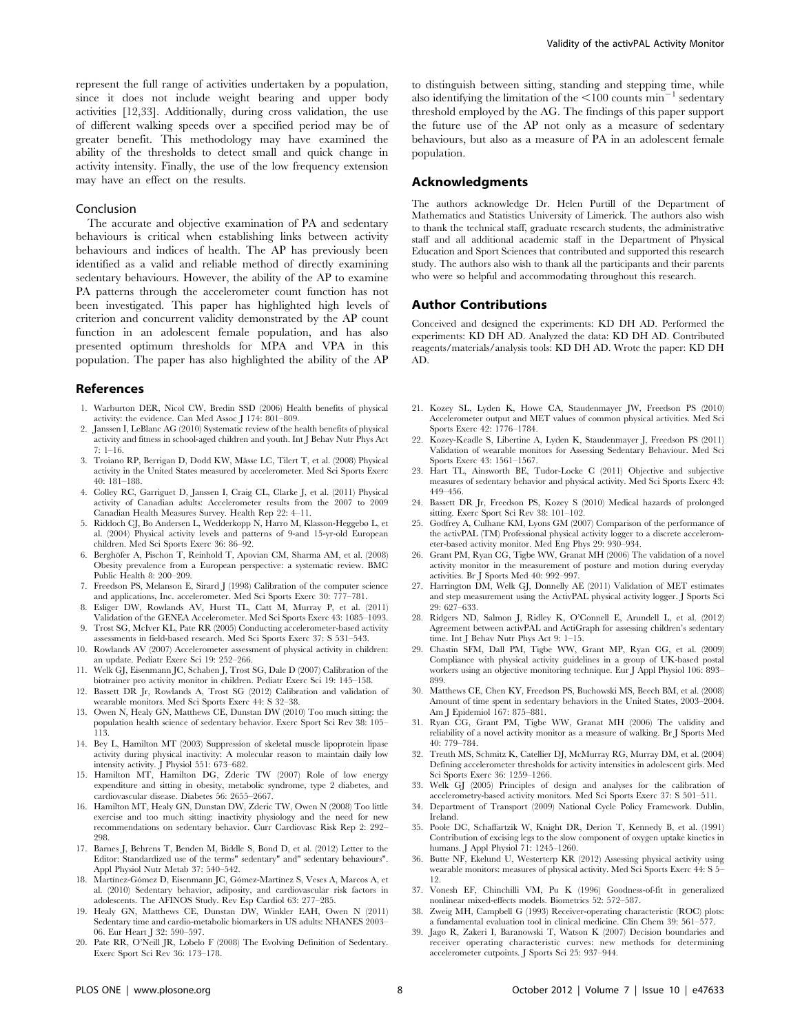represent the full range of activities undertaken by a population, since it does not include weight bearing and upper body activities [12,33]. Additionally, during cross validation, the use of different walking speeds over a specified period may be of greater benefit. This methodology may have examined the ability of the thresholds to detect small and quick change in activity intensity. Finally, the use of the low frequency extension may have an effect on the results.

#### Conclusion

The accurate and objective examination of PA and sedentary behaviours is critical when establishing links between activity behaviours and indices of health. The AP has previously been identified as a valid and reliable method of directly examining sedentary behaviours. However, the ability of the AP to examine PA patterns through the accelerometer count function has not been investigated. This paper has highlighted high levels of criterion and concurrent validity demonstrated by the AP count function in an adolescent female population, and has also presented optimum thresholds for MPA and VPA in this population. The paper has also highlighted the ability of the AP

#### References

- 1. Warburton DER, Nicol CW, Bredin SSD (2006) Health benefits of physical activity: the evidence. Can Med Assoc J 174: 801–809.
- 2. Janssen I, LeBlanc AG (2010) Systematic review of the health benefits of physical activity and fitness in school-aged children and youth. Int J Behav Nutr Phys Act 7: 1–16.
- 3. Troiano RP, Berrigan D, Dodd KW, Mâsse LC, Tilert T, et al. (2008) Physical activity in the United States measured by accelerometer. Med Sci Sports Exerc 40: 181–188.
- 4. Colley RC, Garriguet D, Janssen I, Craig CL, Clarke J, et al. (2011) Physical activity of Canadian adults: Accelerometer results from the 2007 to 2009 Canadian Health Measures Survey. Health Rep 22: 4–11.
- 5. Riddoch CJ, Bo Andersen L, Wedderkopp N, Harro M, Klasson-Heggebø L, et al. (2004) Physical activity levels and patterns of 9-and 15-yr-old European children. Med Sci Sports Exerc 36: 86–92.
- 6. Berghöfer A, Pischon T, Reinhold T, Apovian CM, Sharma AM, et al. (2008) Obesity prevalence from a European perspective: a systematic review. BMC Public Health 8: 200–209.
- 7. Freedson PS, Melanson E, Sirard J (1998) Calibration of the computer science and applications, Inc. accelerometer. Med Sci Sports Exerc 30: 777–781.
- 8. Esliger DW, Rowlands AV, Hurst TL, Catt M, Murray P, et al. (2011) Validation of the GENEA Accelerometer. Med Sci Sports Exerc 43: 1085–1093.
- 9. Trost SG, McIver KL, Pate RR (2005) Conducting accelerometer-based activity assessments in field-based research. Med Sci Sports Exerc 37: S 531–543.
- 10. Rowlands AV (2007) Accelerometer assessment of physical activity in children: an update. Pediatr Exerc Sci 19: 252–266.
- 11. Welk GJ, Eisenmann JC, Schaben J, Trost SG, Dale D (2007) Calibration of the biotrainer pro activity monitor in children. Pediatr Exerc Sci 19: 145–158.
- 12. Bassett DR Jr, Rowlands A, Trost SG (2012) Calibration and validation of wearable monitors. Med Sci Sports Exerc 44: S 32–38.
- 13. Owen N, Healy GN, Matthews CE, Dunstan DW (2010) Too much sitting: the population health science of sedentary behavior. Exerc Sport Sci Rev 38: 105– 113.
- 14. Bey L, Hamilton MT (2003) Suppression of skeletal muscle lipoprotein lipase activity during physical inactivity: A molecular reason to maintain daily low intensity activity. J Physiol 551: 673–682.
- 15. Hamilton MT, Hamilton DG, Zderic TW (2007) Role of low energy expenditure and sitting in obesity, metabolic syndrome, type 2 diabetes, and cardiovascular disease. Diabetes 56: 2655–2667.
- 16. Hamilton MT, Healy GN, Dunstan DW, Zderic TW, Owen N (2008) Too little exercise and too much sitting: inactivity physiology and the need for new recommendations on sedentary behavior. Curr Cardiovasc Risk Rep 2: 292– 298.
- 17. Barnes J, Behrens T, Benden M, Biddle S, Bond D, et al. (2012) Letter to the Editor: Standardized use of the terms" sedentary" and" sedentary behaviours". Appl Physiol Nutr Metab 37: 540–542.
- 18. Martínez-Gómez D, Eisenmann JC, Gómez-Martínez S, Veses A, Marcos A, et al. (2010) Sedentary behavior, adiposity, and cardiovascular risk factors in adolescents. The AFINOS Study. Rev Esp Cardiol 63: 277–285.
- 19. Healy GN, Matthews CE, Dunstan DW, Winkler EAH, Owen N (2011) Sedentary time and cardio-metabolic biomarkers in US adults: NHANES 2003– 06. Eur Heart J 32: 590–597.
- 20. Pate RR, O'Neill JR, Lobelo F (2008) The Evolving Definition of Sedentary. Exerc Sport Sci Rev 36: 173–178.

to distinguish between sitting, standing and stepping time, while also identifying the limitation of the  $\leq 100$  counts min<sup>-1</sup> sedentary threshold employed by the AG. The findings of this paper support the future use of the AP not only as a measure of sedentary behaviours, but also as a measure of PA in an adolescent female population.

## Acknowledgments

The authors acknowledge Dr. Helen Purtill of the Department of Mathematics and Statistics University of Limerick. The authors also wish to thank the technical staff, graduate research students, the administrative staff and all additional academic staff in the Department of Physical Education and Sport Sciences that contributed and supported this research study. The authors also wish to thank all the participants and their parents who were so helpful and accommodating throughout this research.

#### Author Contributions

Conceived and designed the experiments: KD DH AD. Performed the experiments: KD DH AD. Analyzed the data: KD DH AD. Contributed reagents/materials/analysis tools: KD DH AD. Wrote the paper: KD DH AD.

- 21. Kozey SL, Lyden K, Howe CA, Staudenmayer JW, Freedson PS (2010) Accelerometer output and MET values of common physical activities. Med Sci Sports Exerc 42: 1776–1784.
- 22. Kozey-Keadle S, Libertine A, Lyden K, Staudenmayer J, Freedson PS (2011) Validation of wearable monitors for Assessing Sedentary Behaviour. Med Sci Sports Exerc 43: 1561–1567.
- 23. Hart TL, Ainsworth BE, Tudor-Locke C (2011) Objective and subjective measures of sedentary behavior and physical activity. Med Sci Sports Exerc 43: 449–456.
- 24. Bassett DR Jr, Freedson PS, Kozey S (2010) Medical hazards of prolonged sitting. Exerc Sport Sci Rev 38: 101–102.
- 25. Godfrey A, Culhane KM, Lyons GM (2007) Comparison of the performance of the activPAL (TM) Professional physical activity logger to a discrete accelerometer-based activity monitor. Med Eng Phys 29: 930–934.
- 26. Grant PM, Ryan CG, Tigbe WW, Granat MH (2006) The validation of a novel activity monitor in the measurement of posture and motion during everyday activities. Br J Sports Med 40: 992–997.
- 27. Harrington DM, Welk GJ, Donnelly AE (2011) Validation of MET estimates and step measurement using the ActivPAL physical activity logger. J Sports Sci 29: 627–633.
- 28. Ridgers ND, Salmon J, Ridley K, O'Connell E, Arundell L, et al. (2012) Agreement between activPAL and ActiGraph for assessing children's sedentary time. Int J Behav Nutr Phys Act 9: 1–15.
- 29. Chastin SFM, Dall PM, Tigbe WW, Grant MP, Ryan CG, et al. (2009) Compliance with physical activity guidelines in a group of UK-based postal workers using an objective monitoring technique. Eur J Appl Physiol 106: 893– 899.
- 30. Matthews CE, Chen KY, Freedson PS, Buchowski MS, Beech BM, et al. (2008) Amount of time spent in sedentary behaviors in the United States, 2003–2004. Am J Epidemiol 167: 875–881.
- 31. Ryan CG, Grant PM, Tigbe WW, Granat MH (2006) The validity and reliability of a novel activity monitor as a measure of walking. Br J Sports Med 40: 779–784.
- 32. Treuth MS, Schmitz K, Catellier DJ, McMurray RG, Murray DM, et al. (2004) Defining accelerometer thresholds for activity intensities in adolescent girls. Med Sci Sports Exerc 36: 1259–1266.
- 33. Welk GJ (2005) Principles of design and analyses for the calibration of accelerometry-based activity monitors. Med Sci Sports Exerc 37: S 501–511.
- 34. Department of Transport (2009) National Cycle Policy Framework. Dublin, Ireland.
- 35. Poole DC, Schaffartzik W, Knight DR, Derion T, Kennedy B, et al. (1991) Contribution of excising legs to the slow component of oxygen uptake kinetics in humans. J Appl Physiol 71: 1245–1260.
- 36. Butte NF, Ekelund U, Westerterp KR (2012) Assessing physical activity using wearable monitors: measures of physical activity. Med Sci Sports Exerc 44: S 5– 12.
- 37. Vonesh EF, Chinchilli VM, Pu K (1996) Goodness-of-fit in generalized nonlinear mixed-effects models. Biometrics 52: 572–587.
- 38. Zweig MH, Campbell G (1993) Receiver-operating characteristic (ROC) plots: a fundamental evaluation tool in clinical medicine. Clin Chem 39: 561–577.
- 39. Jago R, Zakeri I, Baranowski T, Watson K (2007) Decision boundaries and receiver operating characteristic curves: new methods for determining accelerometer cutpoints. J Sports Sci 25: 937–944.